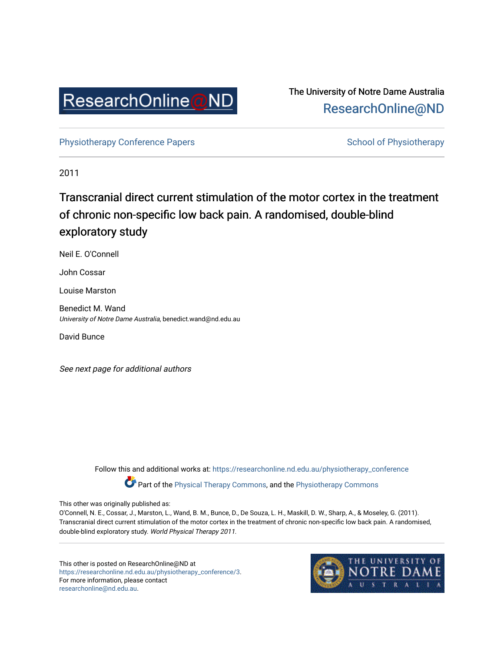

The University of Notre Dame Australia [ResearchOnline@ND](https://researchonline.nd.edu.au/) 

[Physiotherapy Conference Papers](https://researchonline.nd.edu.au/physiotherapy_conference) [School of Physiotherapy](https://researchonline.nd.edu.au/physiotherapy) School of Physiotherapy

2011

# Transcranial direct current stimulation of the motor cortex in the treatment of chronic non-specific low back pain. A randomised, double-blind exploratory study

Neil E. O'Connell

John Cossar

Louise Marston

Benedict M. Wand University of Notre Dame Australia, benedict.wand@nd.edu.au

David Bunce

See next page for additional authors

Follow this and additional works at: [https://researchonline.nd.edu.au/physiotherapy\\_conference](https://researchonline.nd.edu.au/physiotherapy_conference?utm_source=researchonline.nd.edu.au%2Fphysiotherapy_conference%2F3&utm_medium=PDF&utm_campaign=PDFCoverPages) 

Part of the [Physical Therapy Commons,](http://network.bepress.com/hgg/discipline/754?utm_source=researchonline.nd.edu.au%2Fphysiotherapy_conference%2F3&utm_medium=PDF&utm_campaign=PDFCoverPages) and the [Physiotherapy Commons](http://network.bepress.com/hgg/discipline/1086?utm_source=researchonline.nd.edu.au%2Fphysiotherapy_conference%2F3&utm_medium=PDF&utm_campaign=PDFCoverPages) 

This other was originally published as:

O'Connell, N. E., Cossar, J., Marston, L., Wand, B. M., Bunce, D., De Souza, L. H., Maskill, D. W., Sharp, A., & Moseley, G. (2011). Transcranial direct current stimulation of the motor cortex in the treatment of chronic non-specific low back pain. A randomised, double-blind exploratory study. World Physical Therapy 2011.

This other is posted on ResearchOnline@ND at [https://researchonline.nd.edu.au/physiotherapy\\_conference/3.](https://researchonline.nd.edu.au/physiotherapy_conference/3) For more information, please contact [researchonline@nd.edu.au.](mailto:researchonline@nd.edu.au)

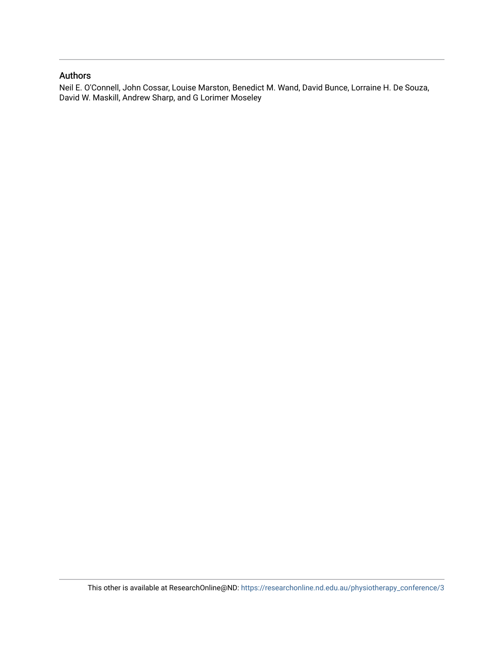# Authors

Neil E. O'Connell, John Cossar, Louise Marston, Benedict M. Wand, David Bunce, Lorraine H. De Souza, David W. Maskill, Andrew Sharp, and G Lorimer Moseley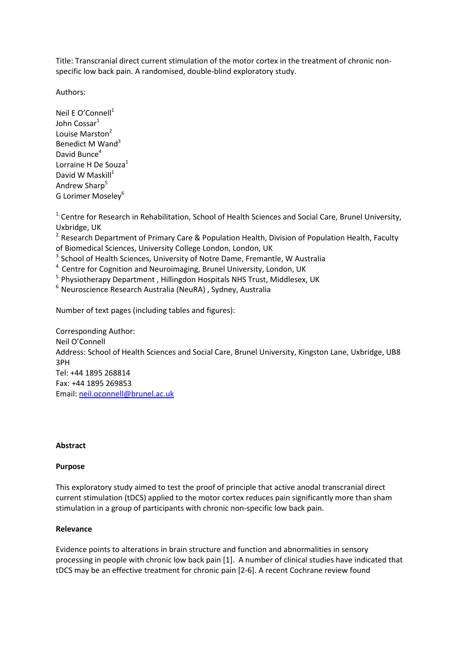Title: Transcranial direct current stimulation of the motor cortex in the treatment of chronic nonspecific low back pain. A randomised, double-blind exploratory study.

Authors:

Neil E O'Connell $1$ John Cossar<sup>1</sup> Louise Marston<sup>2</sup> Benedict M Wand<sup>3</sup> David Bunce $4$ Lorraine H De Souza<sup>1</sup> David W Maskill $1$ Andrew Sharp<sup>5</sup> G Lorimer Moseley<sup>6</sup>

 $1.2$  Centre for Research in Rehabilitation, School of Health Sciences and Social Care, Brunel University, Uxbridge, UK

<sup>2.</sup> Research Department of Primary Care & Population Health, Division of Population Health, Faculty of Biomedical Sciences, University College London, London, UK

<sup>3.</sup> School of Health Sciences, University of Notre Dame, Fremantle, W Australia

<sup>4.</sup> Centre for Cognition and Neuroimaging, Brunel University, London, UK

<sup>5.</sup> Physiotherapy Department, Hillingdon Hospitals NHS Trust, Middlesex, UK

<sup>6.</sup> Neuroscience Research Australia (NeuRA), Sydney, Australia

Number of text pages (including tables and figures):

Corresponding Author: Neil O'Connell Address: School of Health Sciences and Social Care, Brunel University, Kingston Lane, Uxbridge, UB8 3PH Tel: +44 1895 268814 Fax: +44 1895 269853 Email: neil.oconnell@brunel.ac.uk

## Abstract

## Purpose

This exploratory study aimed to test the proof of principle that active anodal transcranial direct current stimulation (tDCS) applied to the motor cortex reduces pain significantly more than sham stimulation in a group of participants with chronic non-specific low back pain.

## Relevance

Evidence points to alterations in brain structure and function and abnormalities in sensory processing in people with chronic low back pain [1]. A number of clinical studies have indicated that tDCS may be an effective treatment for chronic pain [2-6]. A recent Cochrane review found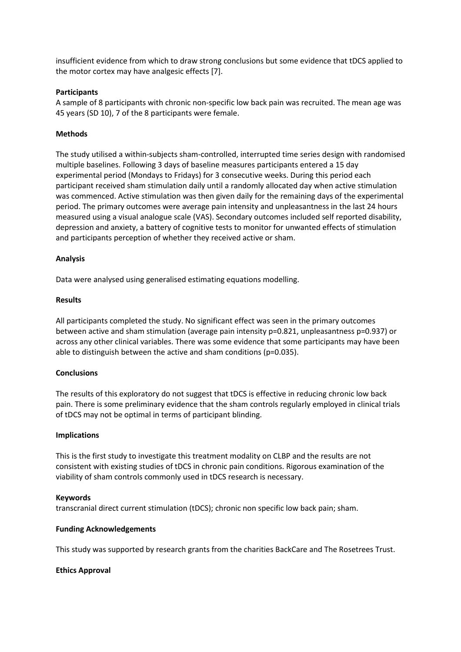insufficient evidence from which to draw strong conclusions but some evidence that tDCS applied to the motor cortex may have analgesic effects [7].

## **Participants**

A sample of 8 participants with chronic non-specific low back pain was recruited. The mean age was 45 years (SD 10), 7 of the 8 participants were female.

## Methods

The study utilised a within-subjects sham-controlled, interrupted time series design with randomised multiple baselines. Following 3 days of baseline measures participants entered a 15 day experimental period (Mondays to Fridays) for 3 consecutive weeks. During this period each participant received sham stimulation daily until a randomly allocated day when active stimulation was commenced. Active stimulation was then given daily for the remaining days of the experimental period. The primary outcomes were average pain intensity and unpleasantness in the last 24 hours measured using a visual analogue scale (VAS). Secondary outcomes included self reported disability, depression and anxiety, a battery of cognitive tests to monitor for unwanted effects of stimulation and participants perception of whether they received active or sham.

## Analysis

Data were analysed using generalised estimating equations modelling.

#### Results

All participants completed the study. No significant effect was seen in the primary outcomes between active and sham stimulation (average pain intensity p=0.821, unpleasantness p=0.937) or across any other clinical variables. There was some evidence that some participants may have been able to distinguish between the active and sham conditions (p=0.035).

#### **Conclusions**

The results of this exploratory do not suggest that tDCS is effective in reducing chronic low back pain. There is some preliminary evidence that the sham controls regularly employed in clinical trials of tDCS may not be optimal in terms of participant blinding.

#### Implications

This is the first study to investigate this treatment modality on CLBP and the results are not consistent with existing studies of tDCS in chronic pain conditions. Rigorous examination of the viability of sham controls commonly used in tDCS research is necessary.

#### Keywords

transcranial direct current stimulation (tDCS); chronic non specific low back pain; sham.

#### Funding Acknowledgements

This study was supported by research grants from the charities BackCare and The Rosetrees Trust.

#### Ethics Approval